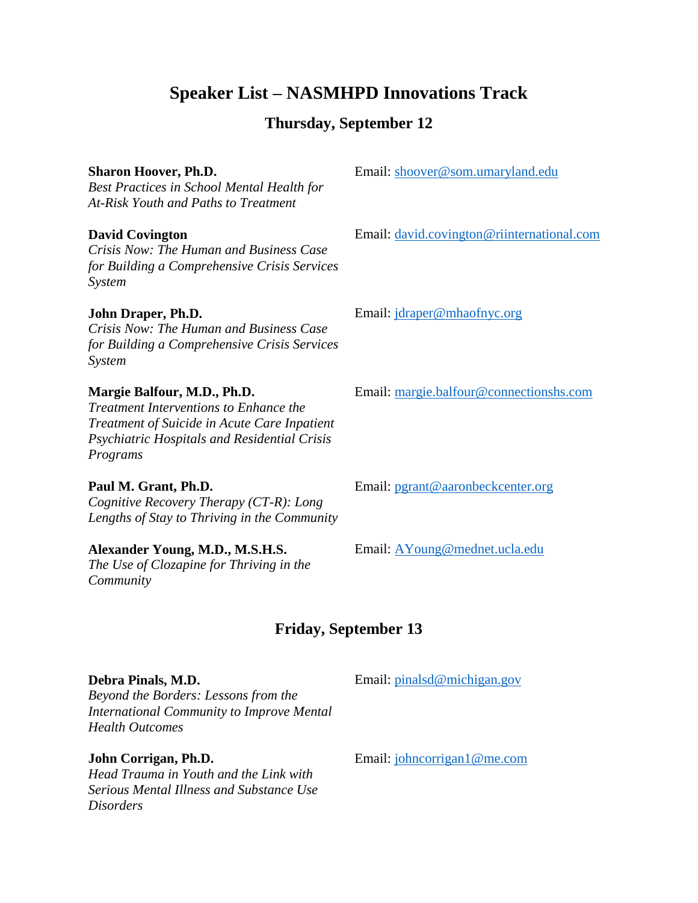# **Speaker List – NASMHPD Innovations Track**

# **Thursday, September 12**

# **Sharon Hoover, Ph.D.**

*Best Practices in School Mental Health for At-Risk Youth and Paths to Treatment*

## **David Covington**

*Crisis Now: The Human and Business Case for Building a Comprehensive Crisis Services System*

### **John Draper, Ph.D.**

*Crisis Now: The Human and Business Case for Building a Comprehensive Crisis Services System*

## **Margie Balfour, M.D., Ph.D.**

*Treatment Interventions to Enhance the Treatment of Suicide in Acute Care Inpatient Psychiatric Hospitals and Residential Crisis Programs*

**Paul M. Grant, Ph.D.** *Cognitive Recovery Therapy (CT-R): Long Lengths of Stay to Thriving in the Community*

# **Alexander Young, M.D., M.S.H.S.**

*The Use of Clozapine for Thriving in the Community*

Email: [shoover@som.umaryland.edu](mailto:shoover@som.umaryland.edu)

Email: [david.covington@riinternational.com](mailto:david.covington@riinternational.com) 

Email: [jdraper@mhaofnyc.org](mailto:jdraper@mhaofnyc.org)

Email: [margie.balfour@connectionshs.com](mailto:margie.balfour@connectionshs.com)

Email: [pgrant@aaronbeckcenter.org](mailto:pgrant@aaronbeckcenter.org)

Email: [AYoung@mednet.ucla.edu](mailto:AYoung@mednet.ucla.edu)

# **Friday, September 13**

## **Debra Pinals, M.D.**

Email: [pinalsd@michigan.gov](mailto:pinalsd@michigan.gov)

*Beyond the Borders: Lessons from the International Community to Improve Mental Health Outcomes*

# **John Corrigan, Ph.D.**

*Head Trauma in Youth and the Link with Serious Mental Illness and Substance Use Disorders*

Email: [johncorrigan1@me.com](mailto:johncorrigan1@me.com)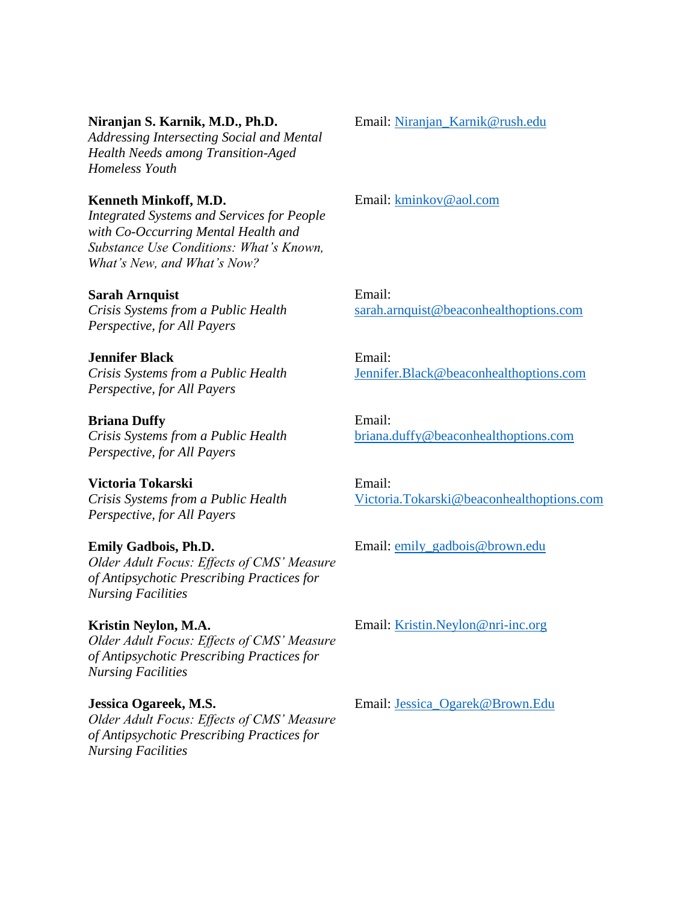#### **Niranjan S. Karnik, M.D., Ph.D.**

*Addressing Intersecting Social and Mental Health Needs among Transition-Aged Homeless Youth*

#### **Kenneth Minkoff, M.D.**

*Integrated Systems and Services for People with Co-Occurring Mental Health and Substance Use Conditions: What's Known, What's New, and What's Now?*

#### **Sarah Arnquist**

*Crisis Systems from a Public Health Perspective, for All Payers*

#### **Jennifer Black**

*Crisis Systems from a Public Health Perspective, for All Payers*

#### **Briana Duffy**

*Crisis Systems from a Public Health Perspective, for All Payers*

### **Victoria Tokarski**

*Crisis Systems from a Public Health Perspective, for All Payers*

#### **Emily Gadbois, Ph.D.**

*Older Adult Focus: Effects of CMS' Measure of Antipsychotic Prescribing Practices for Nursing Facilities*

#### **Kristin Neylon, M.A.**

*Older Adult Focus: Effects of CMS' Measure of Antipsychotic Prescribing Practices for Nursing Facilities*

#### **Jessica Ogareek, M.S.**

*Older Adult Focus: Effects of CMS' Measure of Antipsychotic Prescribing Practices for Nursing Facilities*

Email: [Niranjan\\_Karnik@rush.edu](mailto:Niranjan_Karnik@rush.edu)

Email: [kminkov@aol.com](mailto:kminkov@aol.com)

Email: [sarah.arnquist@beaconhealthoptions.com](mailto:sarah.arnquist@beaconhealthoptions.com)

Email: [Jennifer.Black@beaconhealthoptions.com](mailto:Jennifer.Black@beaconhealthoptions.com)

Email: [briana.duffy@beaconhealthoptions.com](mailto:briana.duffy@beaconhealthoptions.com)

Email: [Victoria.Tokarski@beaconhealthoptions.com](mailto:Victoria.Tokarski@beaconhealthoptions.com)

Email: [emily\\_gadbois@brown.edu](mailto:emily_gadbois@brown.edu)

Email: [Kristin.Neylon@nri-inc.org](mailto:Kristin.Neylon@nri-inc.org)

Email: [Jessica\\_Ogarek@Brown.Edu](mailto:Jessica_Ogarek@Brown.Edu)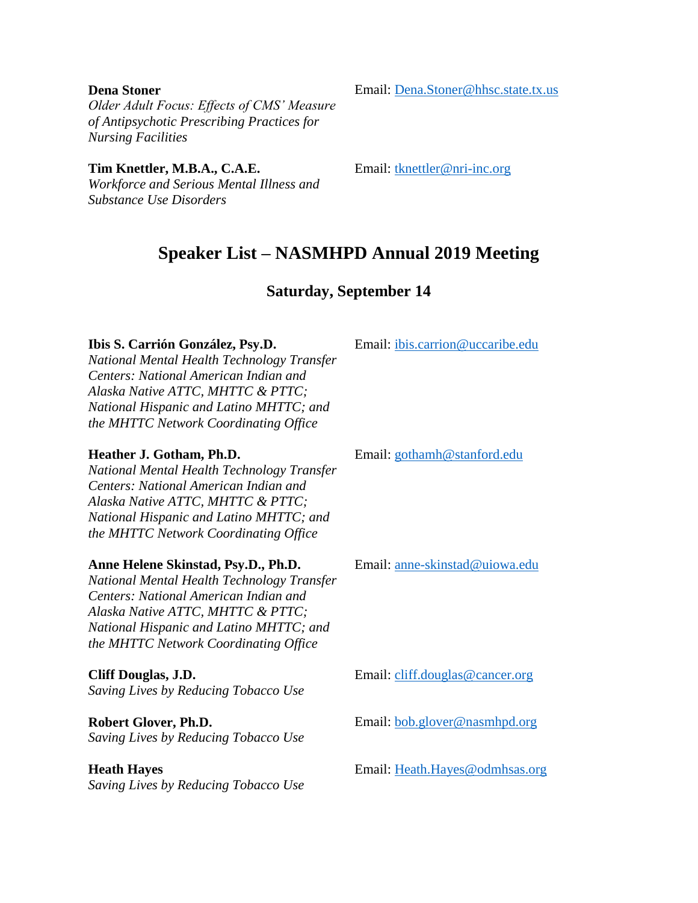#### **Dena Stoner**

*Older Adult Focus: Effects of CMS' Measure of Antipsychotic Prescribing Practices for Nursing Facilities*

**Tim Knettler, M.B.A., C.A.E.**

*Workforce and Serious Mental Illness and Substance Use Disorders*

Email: [Dena.Stoner@hhsc.state.tx.us](mailto:Dena.Stoner@hhsc.state.tx.us)

Email: [tknettler@nri-inc.org](mailto:tknettler@nri-inc.org)

# **Speaker List – NASMHPD Annual 2019 Meeting**

# **Saturday, September 14**

#### **Ibis S. Carrión González, Psy.D.**

*National Mental Health Technology Transfer Centers: National American Indian and Alaska Native ATTC, MHTTC & PTTC; National Hispanic and Latino MHTTC; and the MHTTC Network Coordinating Office*

## **Heather J. Gotham, Ph.D.**

*National Mental Health Technology Transfer Centers: National American Indian and Alaska Native ATTC, MHTTC & PTTC; National Hispanic and Latino MHTTC; and the MHTTC Network Coordinating Office*

## **Anne Helene Skinstad, Psy.D., Ph.D.**

*National Mental Health Technology Transfer Centers: National American Indian and Alaska Native ATTC, MHTTC & PTTC; National Hispanic and Latino MHTTC; and the MHTTC Network Coordinating Office*

**Cliff Douglas, J.D.** *Saving Lives by Reducing Tobacco Use*

**Robert Glover, Ph.D.** *Saving Lives by Reducing Tobacco Use*

**Heath Hayes**

*Saving Lives by Reducing Tobacco Use*

Email: [ibis.carrion@uccaribe.edu](mailto:ibis.carrion@uccaribe.edu)

Email: [gothamh@stanford.edu](mailto:gothamh@stanford.edu)

Email: [anne-skinstad@uiowa.edu](mailto:anne-skinstad@uiowa.edu)

Email: [cliff.douglas@cancer.org](mailto:cliff.douglas@cancer.org)

Email: [bob.glover@nasmhpd.org](mailto:bob.glover@nasmhpd.org)

Email: [Heath.Hayes@odmhsas.org](mailto:Heath.Hayes@odmhsas.org)